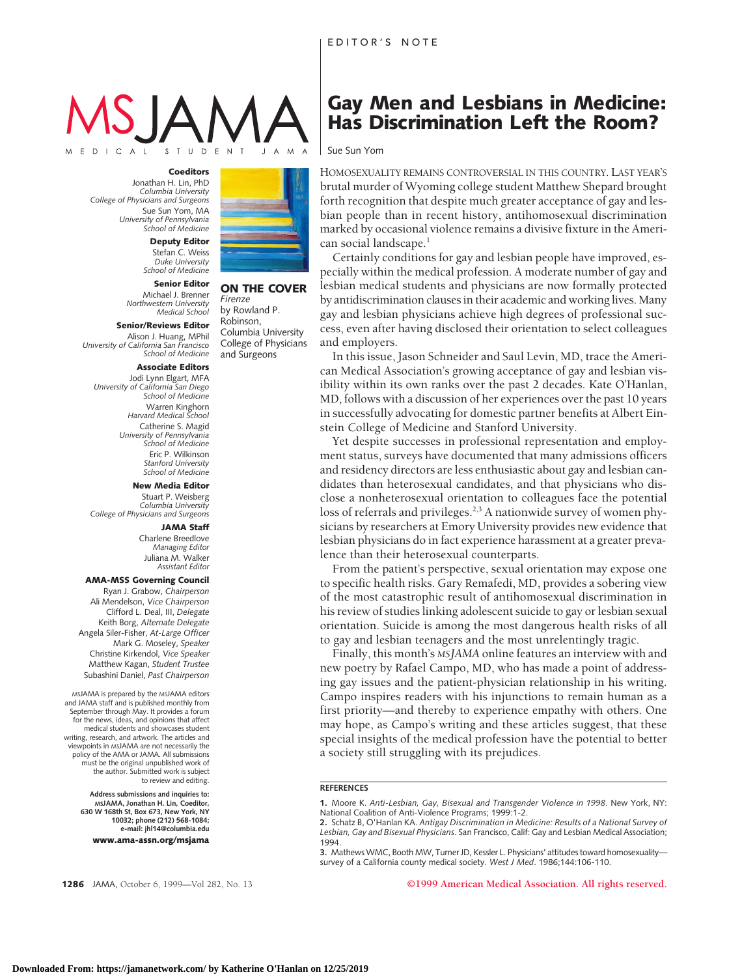Sue Sun Yom

# $S$   $I$   $U$   $D$

#### E D I C A L

**Coeditors** Jonathan H. Lin, PhD *Columbia University College of Physicians and Surgeons* Sue Sun Yom, MA *University of Pennsylvania School of Medicine*

> **Deputy Editor** Stefan C. Weiss *Duke University School of Medicine*

### **Senior Editor**

Michael J. Brenner *Northwestern University Medical School*

**Senior/Reviews Editor** Alison J. Huang, MPhil *University of California San Francisco School of Medicine*

#### **Associate Editors**

Jodi Lynn Elgart, MFA *University of California San Diego School of Medicine* Warren Kinghorn *Harvard Medical School* Catherine S. Magid *University of Pennsylvania School of Medicine* Eric P. Wilkinson *Stanford University School of Medicine*

#### **New Media Editor**

Stuart P. Weisberg *Columbia University College of Physicians and Surgeons*

#### **JAMA Staff**

Charlene Breedlove *Managing Editor* Juliana M. Walker *Assistant Editor*

#### **AMA-MSS Governing Council**

Ryan J. Grabow, *Chairperson* Ali Mendelson, *Vice Chairperson* Clifford L. Deal, III, *Delegate* Keith Borg, *Alternate Delegate* Angela Siler-Fisher, *At-Large Officer* Mark G. Moseley, *Speaker* Christine Kirkendol, *Vice Speaker* Matthew Kagan, *Student Trustee* Subashini Daniel, *Past Chairperson*

MSJAMA is prepared by the MSJAMA editors and JAMA staff and is published monthly from September through May. It provides a forum for the news, ideas, and opinions that affect medical students and showcases student writing, research, and artwork. The articles and viewpoints in MSJAMA are not necessarily the policy of the AMA or JAMA. All submissions must be the original unpublished work of the author. Submitted work is subject to review and editing.

**Address submissions and inquiries to: MSJAMA, Jonathan H. Lin, Coeditor, 630 W 168th St, Box 673, New York, NY 10032; phone (212) 568-1084; e-mail: jhl14@columbia.edu www.ama-assn.org/msjama**



#### **ON THE COVER** *Firenze* by Rowland P.

Robinson, Columbia University College of Physicians and Surgeons

HOMOSEXUALITY REMAINS CONTROVERSIAL IN THIS COUNTRY. LAST YEAR'S brutal murder of Wyoming college student Matthew Shepard brought forth recognition that despite much greater acceptance of gay and lesbian people than in recent history, antihomosexual discrimination marked by occasional violence remains a divisive fixture in the American social landscape.<sup>1</sup>

**Gay Men and Lesbians in Medicine: Has Discrimination Left the Room?**

Certainly conditions for gay and lesbian people have improved, especially within the medical profession. A moderate number of gay and lesbian medical students and physicians are now formally protected by antidiscrimination clauses in their academic and working lives. Many gay and lesbian physicians achieve high degrees of professional success, even after having disclosed their orientation to select colleagues and employers.

In this issue, Jason Schneider and Saul Levin, MD, trace the American Medical Association's growing acceptance of gay and lesbian visibility within its own ranks over the past 2 decades. Kate O'Hanlan, MD, follows with a discussion of her experiences over the past 10 years in successfully advocating for domestic partner benefits at Albert Einstein College of Medicine and Stanford University.

Yet despite successes in professional representation and employment status, surveys have documented that many admissions officers and residency directors are less enthusiastic about gay and lesbian candidates than heterosexual candidates, and that physicians who disclose a nonheterosexual orientation to colleagues face the potential loss of referrals and privileges.<sup>2,3</sup> A nationwide survey of women physicians by researchers at Emory University provides new evidence that lesbian physicians do in fact experience harassment at a greater prevalence than their heterosexual counterparts.

From the patient's perspective, sexual orientation may expose one to specific health risks. Gary Remafedi, MD, provides a sobering view of the most catastrophic result of antihomosexual discrimination in his review of studies linking adolescent suicide to gay or lesbian sexual orientation. Suicide is among the most dangerous health risks of all to gay and lesbian teenagers and the most unrelentingly tragic.

Finally, this month's *MSJAMA* online features an interview with and new poetry by Rafael Campo, MD, who has made a point of addressing gay issues and the patient-physician relationship in his writing. Campo inspires readers with his injunctions to remain human as a first priority—and thereby to experience empathy with others. One may hope, as Campo's writing and these articles suggest, that these special insights of the medical profession have the potential to better a society still struggling with its prejudices.

#### **REFERENCES**

**1.** Moore K. *Anti-Lesbian, Gay, Bisexual and Transgender Violence in 1998*. New York, NY: National Coalition of Anti-Violence Programs; 1999:1-2.

**3.** Mathews WMC, Booth MW, Turner JD, Kessler L. Physicians' attitudes toward homosexuality survey of a California county medical society. *West J Med*. 1986;144:106-110.

**1286** JAMA, October 6, 1999—Vol 282, No. 13 **©1999 American Medical Association. All rights reserved.**

**<sup>2.</sup>** Schatz B, O'Hanlan KA. *Antigay Discrimination in Medicine: Results of a National Survey of Lesbian, Gay and Bisexual Physicians*. San Francisco, Calif: Gay and Lesbian Medical Association; 1994.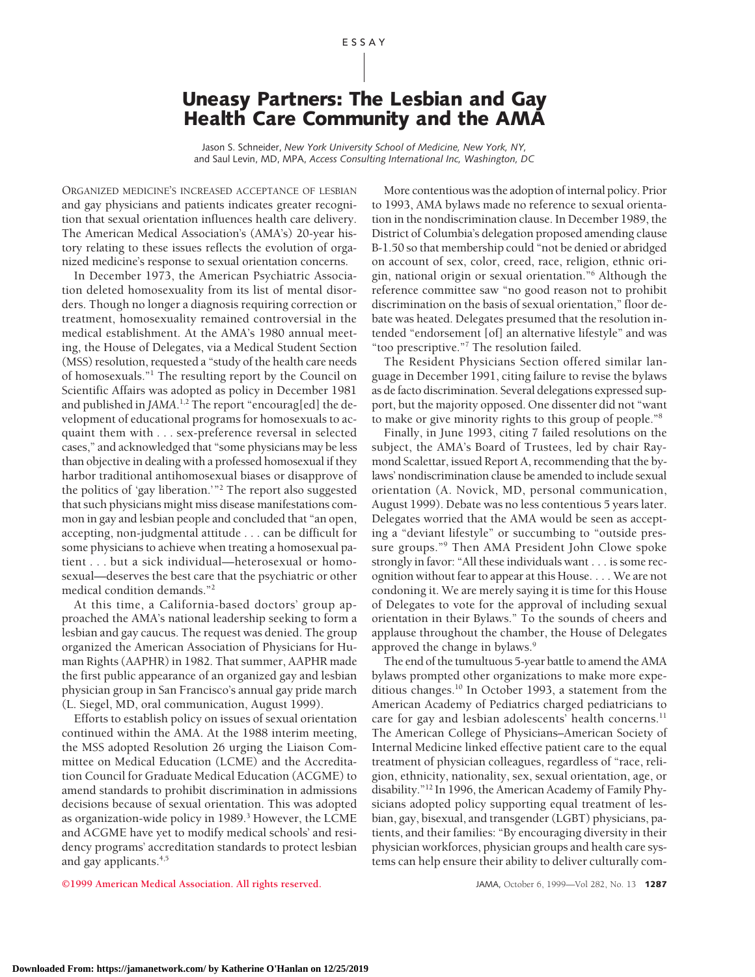## **Uneasy Partners: The Lesbian and Gay Health Care Community and the AMA**

Jason S. Schneider, *New York University School of Medicine, New York, NY,* and Saul Levin, MD, MPA, *Access Consulting International Inc, Washington, DC*

ORGANIZED MEDICINE'S INCREASED ACCEPTANCE OF LESBIAN and gay physicians and patients indicates greater recognition that sexual orientation influences health care delivery. The American Medical Association's (AMA's) 20-year history relating to these issues reflects the evolution of organized medicine's response to sexual orientation concerns.

In December 1973, the American Psychiatric Association deleted homosexuality from its list of mental disorders. Though no longer a diagnosis requiring correction or treatment, homosexuality remained controversial in the medical establishment. At the AMA's 1980 annual meeting, the House of Delegates, via a Medical Student Section (MSS) resolution, requested a "study of the health care needs of homosexuals."1 The resulting report by the Council on Scientific Affairs was adopted as policy in December 1981 and published in JAMA.<sup>1,2</sup> The report "encourag[ed] the development of educational programs for homosexuals to acquaint them with... sex-preference reversal in selected cases," and acknowledged that "some physicians may be less than objective in dealing with a professed homosexual if they harbor traditional antihomosexual biases or disapprove of the politics of 'gay liberation.'"2 The report also suggested that such physicians might miss disease manifestations common in gay and lesbian people and concluded that "an open, accepting, non-judgmental attitude . . . can be difficult for some physicians to achieve when treating a homosexual patient . . . but a sick individual—heterosexual or homosexual—deserves the best care that the psychiatric or other medical condition demands."2

At this time, a California-based doctors' group approached the AMA's national leadership seeking to form a lesbian and gay caucus. The request was denied. The group organized the American Association of Physicians for Human Rights (AAPHR) in 1982. That summer, AAPHR made the first public appearance of an organized gay and lesbian physician group in San Francisco's annual gay pride march (L. Siegel, MD, oral communication, August 1999).

Efforts to establish policy on issues of sexual orientation continued within the AMA. At the 1988 interim meeting, the MSS adopted Resolution 26 urging the Liaison Committee on Medical Education (LCME) and the Accreditation Council for Graduate Medical Education (ACGME) to amend standards to prohibit discrimination in admissions decisions because of sexual orientation. This was adopted as organization-wide policy in 1989.<sup>3</sup> However, the LCME and ACGME have yet to modify medical schools' and residency programs' accreditation standards to protect lesbian and gay applicants.4,5

More contentious was the adoption of internal policy. Prior to 1993, AMA bylaws made no reference to sexual orientation in the nondiscrimination clause. In December 1989, the District of Columbia's delegation proposed amending clause B-1.50 so that membership could "not be denied or abridged on account of sex, color, creed, race, religion, ethnic origin, national origin or sexual orientation."6 Although the reference committee saw "no good reason not to prohibit discrimination on the basis of sexual orientation," floor debate was heated. Delegates presumed that the resolution intended "endorsement [of] an alternative lifestyle" and was "too prescriptive."7 The resolution failed.

The Resident Physicians Section offered similar language in December 1991, citing failure to revise the bylaws as de facto discrimination. Several delegations expressed support, but the majority opposed. One dissenter did not "want to make or give minority rights to this group of people."8

Finally, in June 1993, citing 7 failed resolutions on the subject, the AMA's Board of Trustees, led by chair Raymond Scalettar, issued Report A, recommending that the bylaws' nondiscrimination clause be amended to include sexual orientation (A. Novick, MD, personal communication, August 1999). Debate was no less contentious 5 years later. Delegates worried that the AMA would be seen as accepting a "deviant lifestyle" or succumbing to "outside pressure groups."9 Then AMA President John Clowe spoke strongly in favor: "All these individuals want . . . is some recognition without fear to appear at this House. . . . We are not condoning it. We are merely saying it is time for this House of Delegates to vote for the approval of including sexual orientation in their Bylaws." To the sounds of cheers and applause throughout the chamber, the House of Delegates approved the change in bylaws.<sup>9</sup>

The end of the tumultuous 5-year battle to amend the AMA bylaws prompted other organizations to make more expeditious changes.<sup>10</sup> In October 1993, a statement from the American Academy of Pediatrics charged pediatricians to care for gay and lesbian adolescents' health concerns.<sup>11</sup> The American College of Physicians–American Society of Internal Medicine linked effective patient care to the equal treatment of physician colleagues, regardless of "race, religion, ethnicity, nationality, sex, sexual orientation, age, or disability."12 In 1996, the American Academy of Family Physicians adopted policy supporting equal treatment of lesbian, gay, bisexual, and transgender (LGBT) physicians, patients, and their families: "By encouraging diversity in their physician workforces, physician groups and health care systems can help ensure their ability to deliver culturally com-

**©1999 American Medical Association. All rights reserved.** JAMA, October 6, 1999—Vol 282, No. 13 **1287**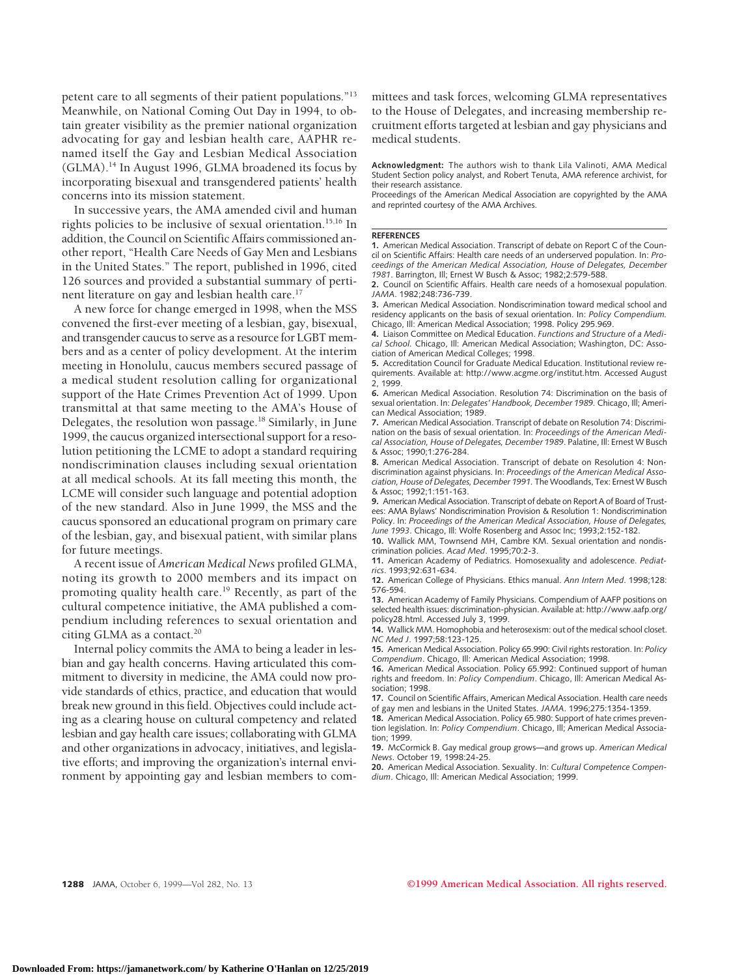petent care to all segments of their patient populations."13 Meanwhile, on National Coming Out Day in 1994, to obtain greater visibility as the premier national organization advocating for gay and lesbian health care, AAPHR renamed itself the Gay and Lesbian Medical Association (GLMA).14 In August 1996, GLMA broadened its focus by incorporating bisexual and transgendered patients' health concerns into its mission statement.

In successive years, the AMA amended civil and human rights policies to be inclusive of sexual orientation.<sup>15,16</sup> In addition, the Council on Scientific Affairs commissioned another report, "Health Care Needs of Gay Men and Lesbians in the United States." The report, published in 1996, cited 126 sources and provided a substantial summary of pertinent literature on gay and lesbian health care.<sup>17</sup>

A new force for change emerged in 1998, when the MSS convened the first-ever meeting of a lesbian, gay, bisexual, and transgender caucus to serve as a resource for LGBT members and as a center of policy development. At the interim meeting in Honolulu, caucus members secured passage of a medical student resolution calling for organizational support of the Hate Crimes Prevention Act of 1999. Upon transmittal at that same meeting to the AMA's House of Delegates, the resolution won passage.18 Similarly, in June 1999, the caucus organized intersectional support for a resolution petitioning the LCME to adopt a standard requiring nondiscrimination clauses including sexual orientation at all medical schools. At its fall meeting this month, the LCME will consider such language and potential adoption of the new standard. Also in June 1999, the MSS and the caucus sponsored an educational program on primary care of the lesbian, gay, and bisexual patient, with similar plans for future meetings.

A recent issue of *American Medical News* profiled GLMA, noting its growth to 2000 members and its impact on promoting quality health care.19 Recently, as part of the cultural competence initiative, the AMA published a compendium including references to sexual orientation and citing GLMA as a contact. $20$ 

Internal policy commits the AMA to being a leader in lesbian and gay health concerns. Having articulated this commitment to diversity in medicine, the AMA could now provide standards of ethics, practice, and education that would break new ground in this field. Objectives could include acting as a clearing house on cultural competency and related lesbian and gay health care issues; collaborating with GLMA and other organizations in advocacy, initiatives, and legislative efforts; and improving the organization's internal environment by appointing gay and lesbian members to committees and task forces, welcoming GLMA representatives to the House of Delegates, and increasing membership recruitment efforts targeted at lesbian and gay physicians and medical students.

**Acknowledgment:** The authors wish to thank Lila Valinoti, AMA Medical Student Section policy analyst, and Robert Tenuta, AMA reference archivist, for their research assistance.

Proceedings of the American Medical Association are copyrighted by the AMA and reprinted courtesy of the AMA Archives.

#### **REFERENCES**

**1.** American Medical Association. Transcript of debate on Report C of the Council on Scientific Affairs: Health care needs of an underserved population. In: *Proceedings of the American Medical Association, House of Delegates, December 1981*. Barrington, Ill; Ernest W Busch & Assoc; 1982;2:579-588.

**2.** Council on Scientific Affairs. Health care needs of a homosexual population. *JAMA*. 1982;248:736-739.

**3.** American Medical Association. Nondiscrimination toward medical school and residency applicants on the basis of sexual orientation. In: *Policy Compendium.* Chicago, Ill: American Medical Association; 1998. Policy 295.969.

**4.** Liaison Committee on Medical Education. *Functions and Structure of a Medical School.* Chicago, Ill: American Medical Association; Washington, DC: Association of American Medical Colleges; 1998.

**5.** Accreditation Council for Graduate Medical Education. Institutional review requirements. Available at: http://www.acgme.org/institut.htm. Accessed August 2, 1999.

**6.** American Medical Association. Resolution 74: Discrimination on the basis of sexual orientation. In: *Delegates' Handbook, December 1989.* Chicago, Ill; American Medical Association; 1989.

**7.** American Medical Association. Transcript of debate on Resolution 74: Discrimination on the basis of sexual orientation. In: *Proceedings of the American Medical Association, House of Delegates, December 1989*. Palatine, Ill: Ernest W Busch & Assoc; 1990;1:276-284.

**8.** American Medical Association. Transcript of debate on Resolution 4: Nondiscrimination against physicians. In: *Proceedings of the American Medical Association, House of Delegates, December 1991.* The Woodlands, Tex: Ernest W Busch & Assoc; 1992;1:151-163.

**9.** American Medical Association. Transcript of debate on Report A of Board of Trustees: AMA Bylaws' Nondiscrimination Provision & Resolution 1: Nondiscrimination Policy. In: *Proceedings of the American Medical Association, House of Delegates, June 1993*. Chicago, Ill: Wolfe Rosenberg and Assoc Inc; 1993;2:152-182.

**10.** Wallick MM, Townsend MH, Cambre KM. Sexual orientation and nondiscrimination policies. *Acad Med*. 1995;70:2-3.

**11.** American Academy of Pediatrics. Homosexuality and adolescence. *Pediatrics*. 1993;92:631-634.

**12.** American College of Physicians. Ethics manual. *Ann Intern Med*. 1998;128: 576-594.

**13.** American Academy of Family Physicians. Compendium of AAFP positions on selected health issues: discrimination-physician. Available at: http://www.aafp.org/ policy28.html. Accessed July 3, 1999.

**14.** Wallick MM. Homophobia and heterosexism: out of the medical school closet. *NC Med J*. 1997;58:123-125.

**15.** American Medical Association. Policy 65.990: Civil rights restoration. In: *Policy Compendium*. Chicago, Ill: American Medical Association; 1998.

**16.** American Medical Association. Policy 65.992: Continued support of human rights and freedom. In: *Policy Compendium*. Chicago, Ill: American Medical Association; 1998.

**17.** Council on Scientific Affairs, American Medical Association. Health care needs of gay men and lesbians in the United States. *JAMA*. 1996;275:1354-1359.

**18.** American Medical Association. Policy 65.980: Support of hate crimes prevention legislation. In: *Policy Compendium*. Chicago, Ill; American Medical Association; 1999.

**19.** McCormick B. Gay medical group grows—and grows up. *American Medical News*. October 19, 1998:24-25.

**20.** American Medical Association. Sexuality. In: *Cultural Competence Compendium*. Chicago, Ill: American Medical Association; 1999.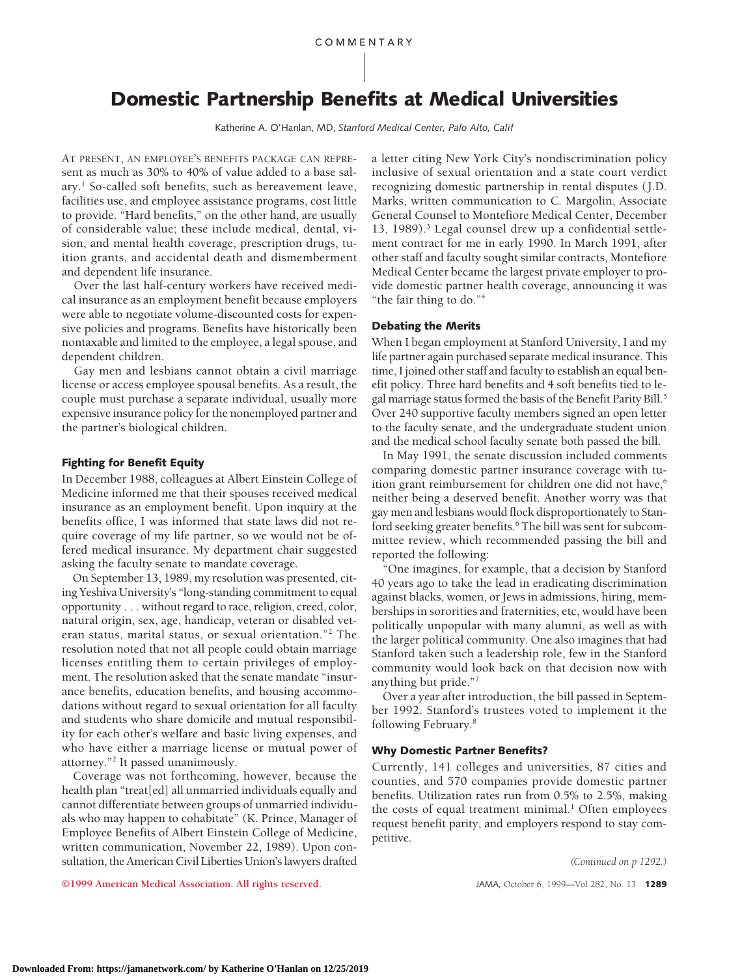# **Domestic Partnership Benefits at Medical Universities**

Katherine A. O'Hanlan, MD, *Stanford Medical Center, Palo Alto, Calif*

AT PRESENT, AN EMPLOYEE'S BENEFITS PACKAGE CAN REPREsent as much as 30% to 40% of value added to a base salary.1 So-called soft benefits, such as bereavement leave, facilities use, and employee assistance programs, cost little to provide. "Hard benefits," on the other hand, are usually of considerable value; these include medical, dental, vision, and mental health coverage, prescription drugs, tuition grants, and accidental death and dismemberment and dependent life insurance.

Over the last half-century workers have received medical insurance as an employment benefit because employers were able to negotiate volume-discounted costs for expensive policies and programs. Benefits have historically been nontaxable and limited to the employee, a legal spouse, and dependent children.

Gay men and lesbians cannot obtain a civil marriage license or access employee spousal benefits. As a result, the couple must purchase a separate individual, usually more expensive insurance policy for the nonemployed partner and the partner's biological children.

#### **Fighting for Benefit Equity**

In December 1988, colleagues at Albert Einstein College of Medicine informed me that their spouses received medical insurance as an employment benefit. Upon inquiry at the benefits office, I was informed that state laws did not require coverage of my life partner, so we would not be offered medical insurance. My department chair suggested asking the faculty senate to mandate coverage.

On September 13, 1989, my resolution was presented, citing Yeshiva University's "long-standing commitment to equal opportunity... without regard to race, religion, creed, color, natural origin, sex, age, handicap, veteran or disabled veteran status, marital status, or sexual orientation."2 The resolution noted that not all people could obtain marriage licenses entitling them to certain privileges of employment. The resolution asked that the senate mandate "insurance benefits, education benefits, and housing accommodations without regard to sexual orientation for all faculty and students who share domicile and mutual responsibility for each other's welfare and basic living expenses, and who have either a marriage license or mutual power of attorney."2 It passed unanimously.

Coverage was not forthcoming, however, because the health plan "treat[ed] all unmarried individuals equally and cannot differentiate between groups of unmarried individuals who may happen to cohabitate" (K. Prince, Manager of Employee Benefits of Albert Einstein College of Medicine, written communication, November 22, 1989). Upon consultation, the American Civil Liberties Union's lawyers drafted a letter citing New York City's nondiscrimination policy inclusive of sexual orientation and a state court verdict recognizing domestic partnership in rental disputes (J.D. Marks, written communication to C. Margolin, Associate General Counsel to Montefiore Medical Center, December 13, 1989).3 Legal counsel drew up a confidential settlement contract for me in early 1990. In March 1991, after other staff and faculty sought similar contracts, Montefiore Medical Center became the largest private employer to provide domestic partner health coverage, announcing it was "the fair thing to do."4

#### **Debating the Merits**

When I began employment at Stanford University, I and my life partner again purchased separate medical insurance. This time, I joined other staff and faculty to establish an equal benefit policy. Three hard benefits and 4 soft benefits tied to legal marriage status formed the basis of the Benefit Parity Bill.<sup>5</sup> Over 240 supportive faculty members signed an open letter to the faculty senate, and the undergraduate student union and the medical school faculty senate both passed the bill.

In May 1991, the senate discussion included comments comparing domestic partner insurance coverage with tuition grant reimbursement for children one did not have, $6$ neither being a deserved benefit. Another worry was that gay men and lesbians would flock disproportionately to Stanford seeking greater benefits.<sup>6</sup> The bill was sent for subcommittee review, which recommended passing the bill and reported the following:

"One imagines, for example, that a decision by Stanford 40 years ago to take the lead in eradicating discrimination against blacks, women, or Jews in admissions, hiring, memberships in sororities and fraternities, etc, would have been politically unpopular with many alumni, as well as with the larger political community. One also imagines that had Stanford taken such a leadership role, few in the Stanford community would look back on that decision now with anything but pride."7

Over a year after introduction, the bill passed in September 1992. Stanford's trustees voted to implement it the following February.8

#### **Why Domestic Partner Benefits?**

Currently, 141 colleges and universities, 87 cities and counties, and 570 companies provide domestic partner benefits. Utilization rates run from 0.5% to 2.5%, making the costs of equal treatment minimal.<sup>1</sup> Often employees request benefit parity, and employers respond to stay competitive.

*(Continued on p 1292.)*

**©1999 American Medical Association. All rights reserved.** JAMA, October 6, 1999—Vol 282, No. 13 **1289**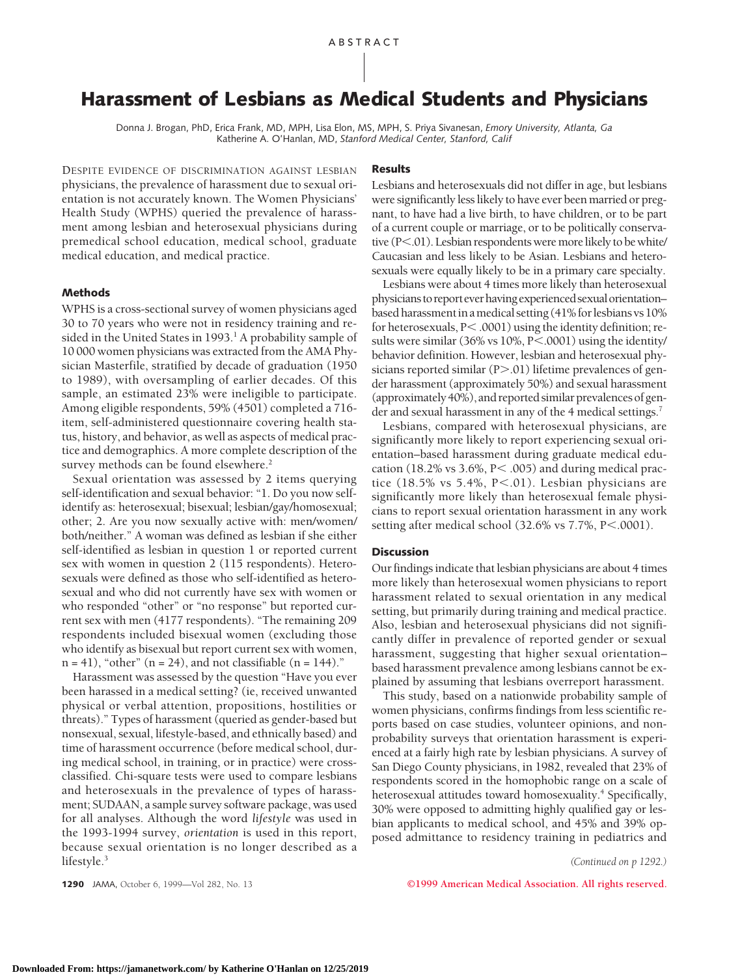# **Harassment of Lesbians as Medical Students and Physicians**

Donna J. Brogan, PhD, Erica Frank, MD, MPH, Lisa Elon, MS, MPH, S. Priya Sivanesan, *Emory University, Atlanta, Ga* Katherine A. O'Hanlan, MD, *Stanford Medical Center, Stanford, Calif*

DESPITE EVIDENCE OF DISCRIMINATION AGAINST LESBIAN physicians, the prevalence of harassment due to sexual orientation is not accurately known. The Women Physicians' Health Study (WPHS) queried the prevalence of harassment among lesbian and heterosexual physicians during premedical school education, medical school, graduate medical education, and medical practice.

#### **Methods**

WPHS is a cross-sectional survey of women physicians aged 30 to 70 years who were not in residency training and resided in the United States in 1993.<sup>1</sup> A probability sample of 10 000 women physicians was extracted from the AMA Physician Masterfile, stratified by decade of graduation (1950 to 1989), with oversampling of earlier decades. Of this sample, an estimated 23% were ineligible to participate. Among eligible respondents, 59% (4501) completed a 716 item, self-administered questionnaire covering health status, history, and behavior, as well as aspects of medical practice and demographics. A more complete description of the survey methods can be found elsewhere.<sup>2</sup>

Sexual orientation was assessed by 2 items querying self-identification and sexual behavior: "1. Do you now selfidentify as: heterosexual; bisexual; lesbian/gay/homosexual; other; 2. Are you now sexually active with: men/women/ both/neither." A woman was defined as lesbian if she either self-identified as lesbian in question 1 or reported current sex with women in question 2 (115 respondents). Heterosexuals were defined as those who self-identified as heterosexual and who did not currently have sex with women or who responded "other" or "no response" but reported current sex with men (4177 respondents). "The remaining 209 respondents included bisexual women (excluding those who identify as bisexual but report current sex with women,  $n = 41$ , "other" ( $n = 24$ ), and not classifiable ( $n = 144$ )."

Harassment was assessed by the question "Have you ever been harassed in a medical setting? (ie, received unwanted physical or verbal attention, propositions, hostilities or threats)." Types of harassment (queried as gender-based but nonsexual, sexual, lifestyle-based, and ethnically based) and time of harassment occurrence (before medical school, during medical school, in training, or in practice) were crossclassified. Chi-square tests were used to compare lesbians and heterosexuals in the prevalence of types of harassment; SUDAAN, a sample survey software package, was used for all analyses. Although the word *lifestyle* was used in the 1993-1994 survey, *orientation* is used in this report, because sexual orientation is no longer described as a lifestyle.<sup>3</sup>

#### **Results**

Lesbians and heterosexuals did not differ in age, but lesbians were significantly less likely to have ever been married or pregnant, to have had a live birth, to have children, or to be part of a current couple or marriage, or to be politically conservative  $(P<.01)$ . Lesbian respondents were more likely to be white/ Caucasian and less likely to be Asian. Lesbians and heterosexuals were equally likely to be in a primary care specialty.

Lesbians were about 4 times more likely than heterosexual physicians to report ever having experienced sexual orientation– based harassment in a medical setting (41% for lesbians vs 10% for heterosexuals,  $P<$  .0001) using the identity definition; results were similar  $(36\% \text{ vs } 10\%, P<.0001)$  using the identity/ behavior definition. However, lesbian and heterosexual physicians reported similar  $(P > .01)$  lifetime prevalences of gender harassment (approximately 50%) and sexual harassment (approximately  $40\%$ ), and reported similar prevalences of gender and sexual harassment in any of the 4 medical settings.<sup>7</sup>

Lesbians, compared with heterosexual physicians, are significantly more likely to report experiencing sexual orientation–based harassment during graduate medical education (18.2% vs 3.6%,  $P<$  .005) and during medical practice (18.5% vs 5.4%,  $P<.01$ ). Lesbian physicians are significantly more likely than heterosexual female physicians to report sexual orientation harassment in any work setting after medical school  $(32.6\% \text{ vs } 7.7\%, \text{ P} < .0001).$ 

#### **Discussion**

Our findings indicate that lesbian physicians are about 4 times more likely than heterosexual women physicians to report harassment related to sexual orientation in any medical setting, but primarily during training and medical practice. Also, lesbian and heterosexual physicians did not significantly differ in prevalence of reported gender or sexual harassment, suggesting that higher sexual orientation– based harassment prevalence among lesbians cannot be explained by assuming that lesbians overreport harassment.

This study, based on a nationwide probability sample of women physicians, confirms findings from less scientific reports based on case studies, volunteer opinions, and nonprobability surveys that orientation harassment is experienced at a fairly high rate by lesbian physicians. A survey of San Diego County physicians, in 1982, revealed that 23% of respondents scored in the homophobic range on a scale of heterosexual attitudes toward homosexuality.<sup>4</sup> Specifically, 30% were opposed to admitting highly qualified gay or lesbian applicants to medical school, and 45% and 39% opposed admittance to residency training in pediatrics and

*(Continued on p 1292.)*

**1290** JAMA, October 6, 1999—Vol 282, No. 13 **©1999 American Medical Association. All rights reserved.**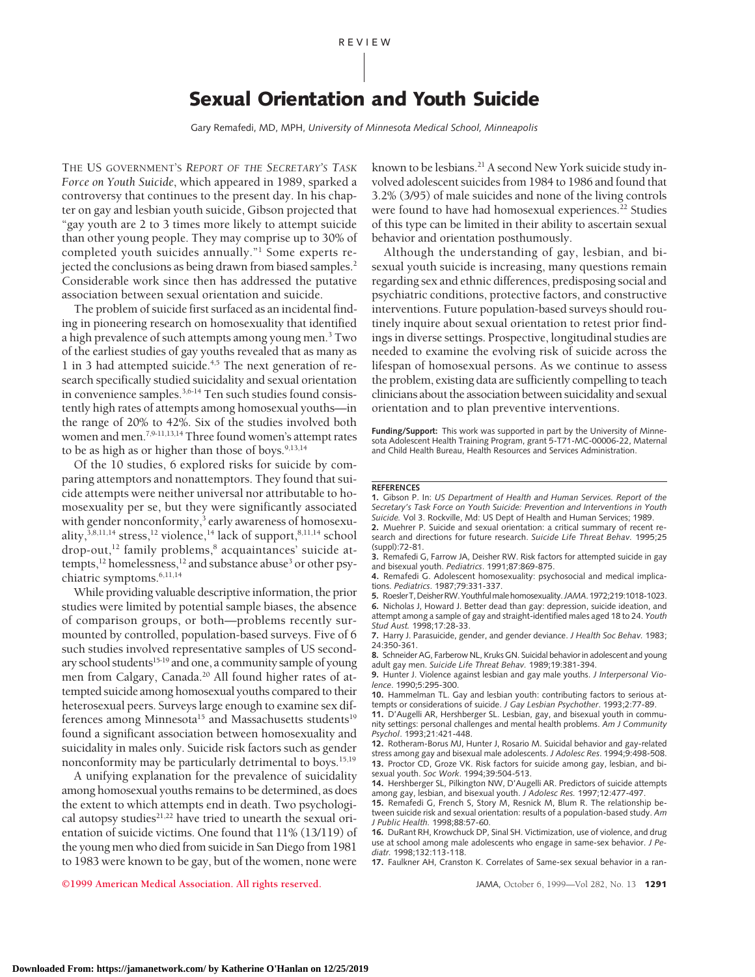# **Sexual Orientation and Youth Suicide**

Gary Remafedi, MD, MPH, *University of Minnesota Medical School, Minneapolis*

THE US GOVERNMENT'S *REPORT OF THE SECRETARY'S TASK Force on Youth Suicide*, which appeared in 1989, sparked a controversy that continues to the present day. In his chapter on gay and lesbian youth suicide, Gibson projected that "gay youth are 2 to 3 times more likely to attempt suicide than other young people. They may comprise up to 30% of completed youth suicides annually."1 Some experts rejected the conclusions as being drawn from biased samples.<sup>2</sup> Considerable work since then has addressed the putative association between sexual orientation and suicide.

The problem of suicide first surfaced as an incidental finding in pioneering research on homosexuality that identified a high prevalence of such attempts among young men.<sup>3</sup> Two of the earliest studies of gay youths revealed that as many as 1 in 3 had attempted suicide.<sup>4,5</sup> The next generation of research specifically studied suicidality and sexual orientation in convenience samples.<sup>3,6-14</sup> Ten such studies found consistently high rates of attempts among homosexual youths—in the range of 20% to 42%. Six of the studies involved both women and men.<sup>7,9-11,13,14</sup> Three found women's attempt rates to be as high as or higher than those of boys. $9,13,14$ 

Of the 10 studies, 6 explored risks for suicide by comparing attemptors and nonattemptors. They found that suicide attempts were neither universal nor attributable to homosexuality per se, but they were significantly associated with gender nonconformity,<sup>3</sup> early awareness of homosexuality,<sup>3,8,11,14</sup> stress,<sup>12</sup> violence,<sup>14</sup> lack of support,<sup>8,11,14</sup> school drop-out,<sup>12</sup> family problems,<sup>8</sup> acquaintances' suicide attempts,<sup>12</sup> homelessness,<sup>12</sup> and substance abuse<sup>3</sup> or other psychiatric symptoms.<sup>6,11,14</sup>

While providing valuable descriptive information, the prior studies were limited by potential sample biases, the absence of comparison groups, or both—problems recently surmounted by controlled, population-based surveys. Five of 6 such studies involved representative samples of US secondary school students<sup>15-19</sup> and one, a community sample of young men from Calgary, Canada.20 All found higher rates of attempted suicide among homosexual youths compared to their heterosexual peers. Surveys large enough to examine sex differences among Minnesota<sup>15</sup> and Massachusetts students<sup>19</sup> found a significant association between homosexuality and suicidality in males only. Suicide risk factors such as gender nonconformity may be particularly detrimental to boys.<sup>15,19</sup>

A unifying explanation for the prevalence of suicidality among homosexual youths remains to be determined, as does the extent to which attempts end in death. Two psychological autopsy studies<sup>21,22</sup> have tried to unearth the sexual orientation of suicide victims. One found that 11% (13/119) of the young men who died from suicide in San Diego from 1981 to 1983 were known to be gay, but of the women, none were

known to be lesbians.<sup>21</sup> A second New York suicide study involved adolescent suicides from 1984 to 1986 and found that 3.2% (3/95) of male suicides and none of the living controls were found to have had homosexual experiences.<sup>22</sup> Studies of this type can be limited in their ability to ascertain sexual behavior and orientation posthumously.

Although the understanding of gay, lesbian, and bisexual youth suicide is increasing, many questions remain regarding sex and ethnic differences, predisposing social and psychiatric conditions, protective factors, and constructive interventions. Future population-based surveys should routinely inquire about sexual orientation to retest prior findings in diverse settings. Prospective, longitudinal studies are needed to examine the evolving risk of suicide across the lifespan of homosexual persons. As we continue to assess the problem, existing data are sufficiently compelling to teach clinicians about the association between suicidality and sexual orientation and to plan preventive interventions.

**Funding/Support:** This work was supported in part by the University of Minnesota Adolescent Health Training Program, grant 5-T71-MC-00006-22, Maternal and Child Health Bureau, Health Resources and Services Administration.

#### **REFERENCES**

**1.** Gibson P. In: *US Department of Health and Human Services. Report of the Secretary's Task Force on Youth Suicide: Prevention and Interventions in Youth Suicide.* Vol 3. Rockville, Md: US Dept of Health and Human Services; 1989.

**2.** Muehrer P. Suicide and sexual orientation: a critical summary of recent research and directions for future research. *Suicide Life Threat Behav.* 1995;25 (suppl):72-81.

**3.** Remafedi G, Farrow JA, Deisher RW. Risk factors for attempted suicide in gay and bisexual youth. *Pediatrics*. 1991;87:869-875.

**4.** Remafedi G. Adolescent homosexuality: psychosocial and medical implications. *Pediatrics*. 1987;79:331-337.

**5.** RoeslerT,DeisherRW.Youthfulmalehomosexuality.*JAMA*.1972;219:1018-1023. **6.** Nicholas J, Howard J. Better dead than gay: depression, suicide ideation, and attempt among a sample of gay and straight-identified males aged 18 to 24. *Youth Stud Aust.* 1998;17:28-33.

**7.** Harry J. Parasuicide, gender, and gender deviance. *J Health Soc Behav.* 1983; 24:350-361.

**8.** Schneider AG, Farberow NL, Kruks GN. Suicidal behavior in adolescent and young adult gay men. *Suicide Life Threat Behav.* 1989;19:381-394.

**9.** Hunter J. Violence against lesbian and gay male youths. *J Interpersonal Violence*. 1990;5:295-300.

**10.** Hammelman TL. Gay and lesbian youth: contributing factors to serious attempts or considerations of suicide. *J Gay Lesbian Psychother*. 1993;2:77-89.

**11.** D'Augelli AR, Hershberger SL. Lesbian, gay, and bisexual youth in community settings: personal challenges and mental health problems. *Am J Community Psychol*. 1993;21:421-448.

**12.** Rotheram-Borus MJ, Hunter J, Rosario M. Suicidal behavior and gay-related stress among gay and bisexual male adolescents. *J Adolesc Res*. 1994;9:498-508. **13.** Proctor CD, Groze VK. Risk factors for suicide among gay, lesbian, and bisexual youth. *Soc Work*. 1994;39:504-513.

**14.** Hershberger SL, Pilkington NW, D'Augelli AR. Predictors of suicide attempts among gay, lesbian, and bisexual youth. *J Adolesc Res.* 1997;12:477-497.

**15.** Remafedi G, French S, Story M, Resnick M, Blum R. The relationship between suicide risk and sexual orientation: results of a population-based study. *Am J Public Health.* 1998;88:57-60.

**16.** DuRant RH, Krowchuck DP, Sinal SH. Victimization, use of violence, and drug use at school among male adolescents who engage in same-sex behavior. *J Pediatr.* 1998;132:113-118.

**17.** Faulkner AH, Cranston K. Correlates of Same-sex sexual behavior in a ran-

**©1999 American Medical Association. All rights reserved.** JAMA, October 6, 1999—Vol 282, No. 13 **1291**